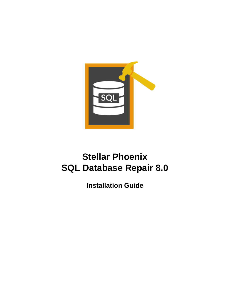

# **Stellar Phoenix SQL Database Repair 8.0**

**Installation Guide**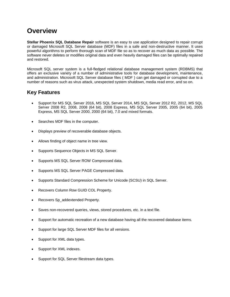### **Overview**

**Stellar Phoenix SQL Database Repair** software is an easy to use application designed to repair corrupt or damaged Microsoft SQL Server database (MDF) files in a safe and non-destructive manner. It uses powerful algorithms to perform thorough scan of MDF file so as to recover as much data as possible. The software never deletes or modifies original data and even heavily damaged files can be optimally repaired and restored.

Microsoft SQL server system is a full-fledged relational database management system (RDBMS) that offers an exclusive variety of a number of administrative tools for database development, maintenance, and administration. Microsoft SQL Server database files ( MDF ) can get damaged or corrupted due to a number of reasons such as virus attack, unexpected system shutdown, media read error, and so on.

### **Key Features**

- Support for MS SQL Server 2016, MS SQL Server 2014, MS SQL Server 2012 R2, 2012, MS SQL Server 2008 R2, 2008, 2008 (64 bit), 2008 Express, MS SQL Server 2005, 2005 (64 bit), 2005 Express, MS SQL Server 2000, 2000 (64 bit), 7.0 and mixed formats.
- Searches MDF files in the computer.
- Displays preview of recoverable database objects.
- Allows finding of object name in tree view.
- Supports Sequence Objects in MS SQL Server.
- Supports MS SQL Server ROW Compressed data.
- Supports MS SQL Server PAGE Compressed data.
- Supports Standard Compression Scheme for Unicode (SCSU) in SQL Server.
- Recovers Column Row GUID COL Property.
- Recovers Sp\_addextended Property.
- Saves non-recovered queries, views, stored procedures, etc. in a text file.
- Support for automatic recreation of a new database having all the recovered database items.
- Support for large SQL Server MDF files for all versions.
- Support for XML data types.
- Support for XML indexes.
- Support for SQL Server filestream data types.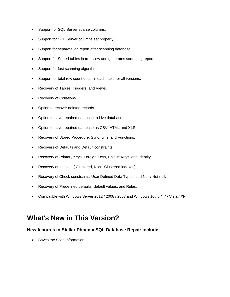- Support for SQL Server sparse columns.
- Support for SQL Server columns set property.
- Support for separate log report after scanning database.
- Support for Sorted tables in tree view and generates sorted log report.
- Support for fast scanning algorithms.
- Support for total row count detail in each table for all versions.
- Recovery of Tables, Triggers, and Views.
- Recovery of Collations.
- Option to recover deleted records.
- Option to save repaired database to Live database.
- Option to save repaired database as CSV, HTML and XLS.
- Recovery of Stored Procedure, Synonyms, and Functions.
- Recovers of Defaults and Default constraints.
- Recovery of Primary Keys, Foreign Keys, Unique Keys, and Identity.
- Recovery of Indexes ( Clustered, Non Clustered indexes).
- Recovery of Check constraints, User Defined Data Types, and Null / Not null.
- Recovery of Predefined defaults, default values, and Rules.
- Compatible with Windows Server 2012 / 2008 / 2003 and Windows 10 / 8 / 7 / Vista / XP.

### **What's New in This Version?**

### **New features in Stellar Phoenix SQL Database Repair include:**

• Saves the Scan Information.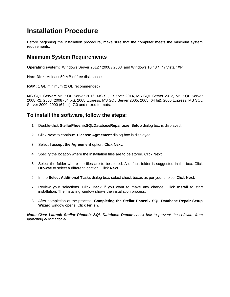### **Installation Procedure**

Before beginning the installation procedure, make sure that the computer meets the minimum system requirements.

### **Minimum System Requirements**

**Operating system:** Windows Server 2012 / 2008 / 2003 and Windows 10 / 8 / 7 / Vista / XP

**Hard Disk:** At least 50 MB of free disk space

**RAM:** 1 GB minimum (2 GB recommended)

**MS SQL Server:** MS SQL Server 2016, MS SQL Server 2014, MS SQL Server 2012, MS SQL Server 2008 R2, 2008, 2008 (64 bit), 2008 Express, MS SQL Server 2005, 2005 (64 bit), 2005 Express, MS SQL Server 2000, 2000 (64 bit), 7.0 and mixed formats.

### **To install the software, follow the steps:**

- 1. Double-click **StellarPhoenixSQLDatabaseRepair.exe**. **Setup** dialog box is displayed.
- 2. Click **Next** to continue. **License Agreement** dialog box is displayed.
- 3. Select **I accept the Agreement** option. Click **Next**.
- 4. Specify the location where the installation files are to be stored. Click **Next**.
- 5. Select the folder where the files are to be stored. A default folder is suggested in the box. Click **Browse** to select a different location. Click **Next**.
- 6. In the **Select Additional Tasks** dialog box, select check boxes as per your choice. Click **Next**.
- 7. Review your selections. Click **Back** if you want to make any change. Click **Install** to start installation. The Installing window shows the installation process.
- 8. After completion of the process, **Completing the Stellar Phoenix SQL Database Repair Setup Wizard** window opens. Click **Finish**.

*Note: Clear Launch Stellar Phoenix SQL Database Repair check box to prevent the software from launching automatically.*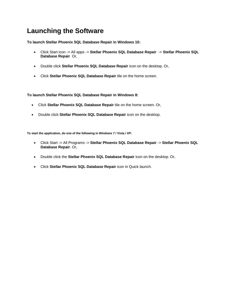## **Launching the Software**

**To launch Stellar Phoenix SQL Database Repair in Windows 10:**

- Click Start icon -> All apps -> **Stellar Phoenix SQL Database Repair** -> **Stellar Phoenix SQL Database Repair** Or,
- Double click **Stellar Phoenix SQL Database Repair** icon on the desktop. Or,
- Click **Stellar Phoenix SQL Database Repair** tile on the home screen.

**To launch Stellar Phoenix SQL Database Repair in Windows 8:**

- Click **Stellar Phoenix SQL Database Repair** tile on the home screen. Or,
- Double click **Stellar Phoenix SQL Database Repair** icon on the desktop.

**To start the application, do one of the following in Windows 7 / Vista / XP:**

- Click Start -> All Programs -> **Stellar Phoenix SQL Database Repair** -> **Stellar Phoenix SQL Database Repair**. Or,
- Double click the **Stellar Phoenix SQL Database Repair** icon on the desktop. Or,
- Click **Stellar Phoenix SQL Database Repair** icon in Quick launch.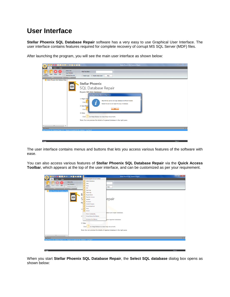### **User Interface**

**Stellar Phoenix SQL Database Repair** software has a very easy to use Graphical User Interface. The user interface contains features required for complete recovery of corrupt MS SQL Server (MDF) files.

After launching the program, you will see the main user interface as shown below:

| o<br>E                                                    | <b>BAROVESOO :</b>                                                                                                                                                                                                                                                                                                           | Stellar Phoenix SQL Database Repair                                                                                      | $\begin{array}{c c c c c c} \hline \multicolumn{3}{c }{\mathbf{w}} & \multicolumn{3}{c }{\mathbf{w}} & \multicolumn{3}{c }{\mathbf{w}} & \multicolumn{3}{c }{\mathbf{w}} & \multicolumn{3}{c }{\mathbf{w}} & \multicolumn{3}{c }{\mathbf{w}} & \multicolumn{3}{c }{\mathbf{w}} & \multicolumn{3}{c }{\mathbf{w}} & \multicolumn{3}{c }{\mathbf{w}} & \multicolumn{3}{c }{\mathbf{w}} & \multicolumn{3}{c }{\mathbf{w}} & \multicolumn{3}{c }{\mathbf$ |
|-----------------------------------------------------------|------------------------------------------------------------------------------------------------------------------------------------------------------------------------------------------------------------------------------------------------------------------------------------------------------------------------------|--------------------------------------------------------------------------------------------------------------------------|-------------------------------------------------------------------------------------------------------------------------------------------------------------------------------------------------------------------------------------------------------------------------------------------------------------------------------------------------------------------------------------------------------------------------------------------------------|
| File<br>Tools<br>Help                                     |                                                                                                                                                                                                                                                                                                                              |                                                                                                                          |                                                                                                                                                                                                                                                                                                                                                                                                                                                       |
| Stop<br>Save<br>Exit<br>Select<br><b>Database</b><br>File | Status Bar<br>Find Tree Item:<br>Log Window<br>Deleted Records<br>Match case<br>Match whole word<br>View                                                                                                                                                                                                                     | Find                                                                                                                     |                                                                                                                                                                                                                                                                                                                                                                                                                                                       |
| Stellar Phoenix SQL Database Repa                         |                                                                                                                                                                                                                                                                                                                              |                                                                                                                          |                                                                                                                                                                                                                                                                                                                                                                                                                                                       |
|                                                           | <b>Stellar Phoenix</b><br>SQL Database Repair<br>Repairs MS SQL Database<br>Stellar Phoenix SQL Database Repair<br>1. Repair Dat<br>Click.<br>2. Save Repai<br>Click <sup>-</sup><br>3. Help:<br>on Help Ribbon to view help document.<br>Click<br>Note: You can preview the details of repaired database in the right pane. | Stop MS SQL server and copy database to different location.<br>Restart the server and repair the copy of database.<br>OK |                                                                                                                                                                                                                                                                                                                                                                                                                                                       |
| $\leftarrow$<br>m.<br>×                                   |                                                                                                                                                                                                                                                                                                                              |                                                                                                                          |                                                                                                                                                                                                                                                                                                                                                                                                                                                       |
| <b>Log Report</b>                                         | Stellar Phoenix SQL Database Repair v7.0 Repairs Corrupted MS SQL database Log Report                                                                                                                                                                                                                                        |                                                                                                                          | <b>B</b> X                                                                                                                                                                                                                                                                                                                                                                                                                                            |
|                                                           |                                                                                                                                                                                                                                                                                                                              |                                                                                                                          |                                                                                                                                                                                                                                                                                                                                                                                                                                                       |

The user interface contains menus and buttons that lets you access various features of the software with ease.

You can also access various features of **Stellar Phoenix SQL Database Repair** via the **Quick Access Toolbar**, which appears at the top of the user interface, and can be customized as per your requirement.

|                                                                                                                                                                                                                                                      |                                                                                                                                                                                                                                                                                                                                                                                                                                    | $-0 x$<br>Stellar Phoenix SQL Database Repair                           |                    |
|------------------------------------------------------------------------------------------------------------------------------------------------------------------------------------------------------------------------------------------------------|------------------------------------------------------------------------------------------------------------------------------------------------------------------------------------------------------------------------------------------------------------------------------------------------------------------------------------------------------------------------------------------------------------------------------------|-------------------------------------------------------------------------|--------------------|
| <b>FESOO E</b><br>OORRAM<br>E<br>Tools<br>Help<br>File<br>V Status Bar<br>V Log Window<br>Select<br>Stop<br>Save<br>Exit<br>Deleted Records<br>Database<br>View<br>File:<br><b>Stellar Phoenix SQL Database Repa</b><br>S.<br>SQL<br>Re<br>1.<br>2.1 | <b>Customize Quick Access Toolbar</b><br>V Select Database<br>$\sqrt{}$<br>Save<br>$\overline{\sqrt{2}}$<br>Stop<br>$\sqrt{}$<br>Exit<br>$\sqrt{}$<br>Save Log<br>$\overline{\sqrt{2}}$<br>Clear Log<br>√<br>Registration<br><b>Transfer License</b><br>Update<br>Purchase<br>√<br>Submit Enquiry<br>⊽<br>Knowledgebase<br>Help<br>$\sqrt{}$<br>About<br>More Commands<br>Show Below the Ribbon<br>Minimize the Ribbon<br>3. Help: | Find<br>epair<br>select and repair database.<br>save repaired database. |                    |
| $\leftarrow$<br>$\mathbf{m}$                                                                                                                                                                                                                         | on Help Ribbon to view help document.<br><b>Click</b><br>Note: You can preview the details of repaired database in the right pane.                                                                                                                                                                                                                                                                                                 |                                                                         |                    |
| Log Report<br>Stellar Phoenix SQL Database Repair v7.0 Repairs Corrupted MS SQL database Log Report                                                                                                                                                  |                                                                                                                                                                                                                                                                                                                                                                                                                                    |                                                                         | $\approx$ $\times$ |
|                                                                                                                                                                                                                                                      |                                                                                                                                                                                                                                                                                                                                                                                                                                    |                                                                         |                    |

When you start **Stellar Phoenix SQL Database Repair**, the **Select SQL database** dialog box opens as shown below: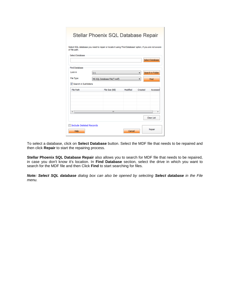| of file path.                  |    | Stellar Phoenix SQL Database Repair<br>Select SQL database you need to repair or locate it using 'Find Database' option, if you are not aware |          |         |                        |
|--------------------------------|----|-----------------------------------------------------------------------------------------------------------------------------------------------|----------|---------|------------------------|
| <b>Select Database</b>         |    |                                                                                                                                               |          |         | <b>Select Database</b> |
| <b>Find Database</b>           |    |                                                                                                                                               |          |         |                        |
| Look in                        | C: |                                                                                                                                               |          |         | Search in Folder       |
| File Type                      |    | MS SQL Database File(".mdf)                                                                                                                   |          |         | Find                   |
| Search in Subfolders           |    |                                                                                                                                               |          |         |                        |
| File Path                      |    | File Size (KB)                                                                                                                                | Modified | Created | Accessed               |
|                                |    |                                                                                                                                               |          |         |                        |
| $\epsilon$                     |    | $\mathbf{m}$                                                                                                                                  |          |         | ٠                      |
|                                |    |                                                                                                                                               |          |         | Clear List             |
| <b>Include Deleted Records</b> |    |                                                                                                                                               |          |         |                        |
| Help                           |    |                                                                                                                                               | Cancel   |         | Repair                 |

To select a database, click on **Select Database** button. Select the MDF file that needs to be repaired and then click **Repair** to start the repairing process.

**Stellar Phoenix SQL Database Repair** also allows you to search for MDF file that needs to be repaired, in case you don't know it's location. In **Find Database** section, select the drive in which you want to search for the MDF file and then Click **Find** to start searching for files.

*Note: Select SQL database dialog box can also be opened by selecting Select database in the File menu.*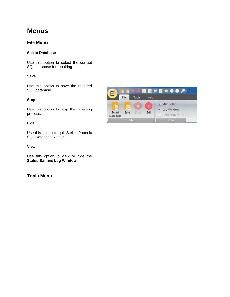## **Menus**

### **File Menu**

#### **Select Database**

Use this option to select the corrupt SQL database for repairing.

#### **Save**

Use this option to save the repaired SQL database.

#### **Stop**

Use this option to stop the repairing process.

#### **Exit**

Use this option to quit Stellar Phoenix SQL Database Repair.

#### **View**

Use this option to view or hide the **Status Bar** and **Log Window**.

### **Tools Menu**

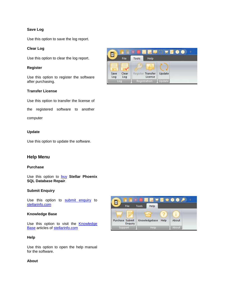#### **Save Log**

Use this option to save the log report.

#### **Clear Log**

Use this option to clear the log report.

#### **Register**

Use this option to register the software after purchasing.

#### **Transfer License**

Use this option to transfer the license of

the registered software to another

computer

#### **Update**

Use this option to update the software.

#### **Help Menu**

#### **Purchase**

Use this option to [buy](http://www.stellarinfo.com/database-recovery/sql-recovery/buy-now.php) **Stellar Phoenix SQL Database Repair**.

#### **Submit Enquiry**

Use this option to [submit enquiry](http://www.stellarinfo.com/support/enquiry.php) to [stellarinfo.com](http://www.stellarinfo.com/)

#### **Knowledge Base**

Use this option to visit the **Knowledge [Base](http://www.stellarinfo.com/support/kb/)** articles of **stellarinfo.com** 

#### **Help**

Use this option to open the help manual for the software.

#### **About**



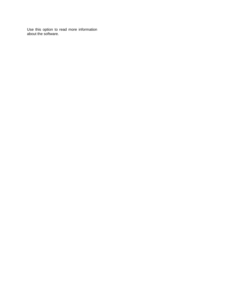Use this option to read more information about the software.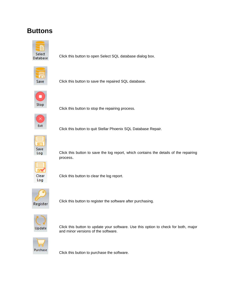## **Buttons**



Click this button to open Select SQL database dialog box.



Click this button to save the repaired SQL database.



Click this button to stop the repairing process.



Click this button to quit Stellar Phoenix SQL Database Repair.



Click this button to save the log report, which contains the details of the repairing process.



Click this button to clear the log report.



Click this button to register the software after purchasing.



Click this button to update your software. Use this option to check for both, major and minor versions of the software.



Click this button to purchase the software.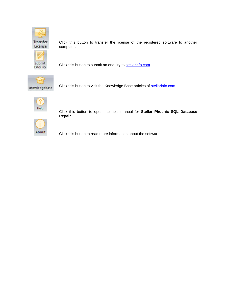

Transfer License



Click this button to transfer the license of the registered software to another computer.

Click this button to submit an enquiry to [stellarinfo.com](http://www.stellarinfo.com/)



Click this button to visit the Knowledge Base articles of [stellarinfo.com](http://www.stellarinfo.com/)



Click this button to open the help manual for **Stellar Phoenix SQL Database Repair**.



Click this button to read more information about the software.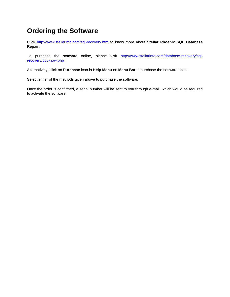## **Ordering the Software**

Click<http://www.stellarinfo.com/sql-recovery.htm> to know more about **Stellar Phoenix SQL Database Repair**.

To purchase the software online, please visit [http://www.stellarinfo.com/database-recovery/sql](http://www.stellarinfo.com/database-recovery/sql-recovery/buy-now.php)[recovery/buy-now.php](http://www.stellarinfo.com/database-recovery/sql-recovery/buy-now.php)

Alternatively, click on **Purchase** icon in **Help Menu** on **Menu Bar** to purchase the software online.

Select either of the methods given above to purchase the software.

Once the order is confirmed, a serial number will be sent to you through e-mail, which would be required to activate the software.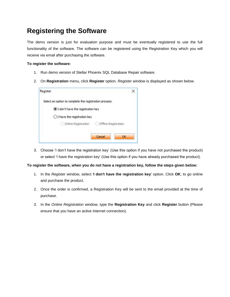## **Registering the Software**

The demo version is just for evaluation purpose and must be eventually registered to use the full functionality of the software. The software can be registered using the Registration Key which you will receive via email after purchasing the software.

#### **To register the software:**

- 1. Run demo version of Stellar Phoenix SQL Database Repair software.
- 2. On **Registration** menu, click **Register** option. *Register* window is displayed as shown below.

| Register                                               |  |
|--------------------------------------------------------|--|
| Select an option to complete the registration process: |  |
| I don't have the registration key                      |  |
| ○ I have the registration key                          |  |
| Online Registration<br>Offline Registration            |  |
|                                                        |  |
| Cancel<br>ОΚ                                           |  |

3. Choose 'I don't have the registration key' (Use this option if you have not purchased the product) or select 'I have the registration key' (Use this option if you have already purchased the product).

#### **To register the software, when you do not have a registration key, follow the steps given below:**

- 1. In the *Register* window, select '**I don't have the registration key**' option. Click **OK**, to go online and purchase the product.
- 2. Once the order is confirmed, a Registration Key will be sent to the email provided at the time of purchase.
- 3. In the *Online Registration* window, type the **Registration Key** and click **Register** button (Please ensure that you have an active Internet connection).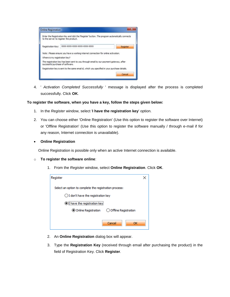|                                  | Enter the Registration Key and click the 'Register' button. The program automatically connects<br>to the server to register the product. |                                                                                              |
|----------------------------------|------------------------------------------------------------------------------------------------------------------------------------------|----------------------------------------------------------------------------------------------|
| Registration Key:                | XXXX-3000X-3000X-3000X-300XX-3000X                                                                                                       | Register                                                                                     |
|                                  | Note : Please ensure you have a working internet connection for online activation.                                                       |                                                                                              |
| Where is my registration key?    |                                                                                                                                          |                                                                                              |
| successful purchase of software. | The registration key has been sent to you through email by our payment gateway, after                                                    |                                                                                              |
|                                  |                                                                                                                                          | Registration key is sent to the same email id, which you specified in your purchase details. |

4. ' *Activation Completed Successfully* ' message is displayed after the process is completed successfully. Click **OK**.

#### **To register the software, when you have a key, follow the steps given below:**

- 1. In the *Register* window, select '**I have the registration key**' option.
- 2. You can choose either 'Online Registration' (Use this option to register the software over Internet) or 'Offline Registration' (Use this option to register the software manually / through e-mail if for any reason, Internet connection is unavailable).
- **Online Registration**

Online Registration is possible only when an active Internet connection is available.

- o **To register the software online**:
	- 1. From the *Register* window, select **Online Registration**. Click **OK**.

| Register                                               |  |
|--------------------------------------------------------|--|
| Select an option to complete the registration process: |  |
| $\bigcirc$ I don't have the registration key           |  |
| <b>I</b> have the registration key                     |  |
| ○ Offline Registration<br>O Online Registration        |  |
| Cancel                                                 |  |

- 2. An **Online Registration** dialog box will appear.
- 3. Type the **Registration Key** (received through email after purchasing the product) in the field of Registration Key. Click **Register**.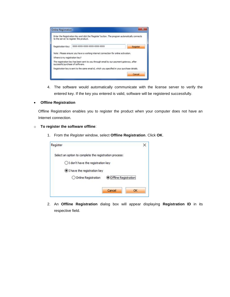| <b>Online Registration</b>             |                                                                                                |          |
|----------------------------------------|------------------------------------------------------------------------------------------------|----------|
| to the server to register the product. | Enter the Registration Key and click the 'Register' button. The program automatically connects |          |
| Registration Key:                      | XXXX-3000X-3000X-3000X-300XX-3000X                                                             | Register |
|                                        | Note : Please ensure you have a working internet connection for online activation.             |          |
| Where is my registration key?          |                                                                                                |          |
| successful purchase of software.       | The registration key has been sent to you through email by our payment gateway, after          |          |
|                                        | Registration key is sent to the same email id, which you specified in your purchase details.   |          |
|                                        |                                                                                                | Cancel   |
|                                        |                                                                                                |          |

4. The software would automatically communicate with the license server to verify the entered key. If the key you entered is valid, software will be registered successfully.

#### **Offline Registration**

Offline Registration enables you to register the product when your computer does not have an Internet connection.

#### o **To register the software offline**:

1. From the *Register* window, select **Offline Registration**. Click **OK**.

| Register                                               |                               |  |
|--------------------------------------------------------|-------------------------------|--|
| Select an option to complete the registration process: |                               |  |
| ◯ I don't have the registration key                    |                               |  |
| <b>O</b> I have the registration key                   |                               |  |
| O Online Registration                                  | <b>O</b> Offline Registration |  |
|                                                        | Cancel<br>ΩК                  |  |

2. An **Offline Registration** dialog box will appear displaying **Registration ID** in its respective field.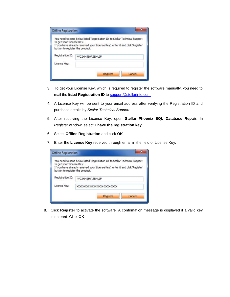| to get your 'License Key'.      | You need to send below listed 'Registration ID' to Stellar Technical Support  |
|---------------------------------|-------------------------------------------------------------------------------|
| button to register the product. | If you have already received your 'License Key', enter it and dick 'Register' |
|                                 |                                                                               |
| Registration ID:                | 4VCZXMS59RZEMUIF                                                              |

- 3. To get your License Key, which is required to register the software manually, you need to mail the listed **Registration ID** to **support@stellarinfo.com**.
- 4. A License Key will be sent to your email address after verifying the Registration ID and purchase details by *Stellar Technical Support*.
- 5. After receiving the License Key, open **Stellar Phoenix SQL Database Repair**. In *Register* window, select '**I have the registration key**'.
- 6. Select **Offline Registration** and click **OK**.
- 7. Enter the **License Key** received through email in the field of License Key.

| <b>Offline Registration</b>                                   |                                                                                                                                                               |
|---------------------------------------------------------------|---------------------------------------------------------------------------------------------------------------------------------------------------------------|
| to get your 'License Key'.<br>button to register the product. | You need to send below listed 'Registration ID' to Stellar Technical Support<br>If you have already received your 'License Key', enter it and dick 'Register' |
| Registration ID:                                              | 4VCZXM559RZEMUIF                                                                                                                                              |
| License Key:                                                  | XXXX-XXXX-XXXX-XXXX-XXXX-XXXX-XXXX                                                                                                                            |
|                                                               | Cancel<br>Register                                                                                                                                            |

8. Click **Register** to activate the software. A confirmation message is displayed if a valid key is entered. Click **OK**.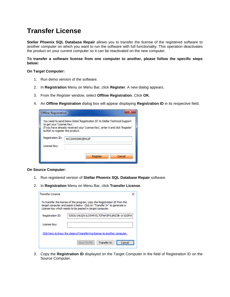## **Transfer License**

**Stellar Phoenix SQL Database Repair** allows you to transfer the license of the registered software to another computer on which you want to run the software with full functionality. This operation deactivates the product on your current computer so it can be reactivated on the new computer.

**To transfer a software license from one computer to another, please follow the specific steps below:**

#### **On Target Computer:**

- 1. Run demo version of the software.
- 2. In **Registration** Menu on Menu Bar, click **Register**. A new dialog appears.
- 3. From the *Register* window, select **Offline Registration**. Click **OK**.
- 4. An **Offline Registration** dialog box will appear displaying **Registration ID** in its respective field.

| You need to send below listed 'Registration ID' to Stellar Technical Support<br>to get your 'License Key'.<br>If you have already received your 'License Key', enter it and dick 'Register'<br>button to register the product.<br>Registration ID:<br>4VCZXM559RZEMUIF | <b>Offline Registration</b> |  |
|------------------------------------------------------------------------------------------------------------------------------------------------------------------------------------------------------------------------------------------------------------------------|-----------------------------|--|
|                                                                                                                                                                                                                                                                        |                             |  |
|                                                                                                                                                                                                                                                                        |                             |  |
| License Key:                                                                                                                                                                                                                                                           |                             |  |

#### **On Source Computer:**

- 1. Run registered version of **Stellar Phoenix SQL Database Repair** software.
- 2. In **Registration** Menu on Menu Bar, click **Transfer License**.

| <b>Transfer License</b>                                                                                                                                                                                           |                                           |  |  |
|-------------------------------------------------------------------------------------------------------------------------------------------------------------------------------------------------------------------|-------------------------------------------|--|--|
| To transfer the license of the program, copy the Registration ID from the<br>target computer and paste it below. Click on "Transfer In" to generate a<br>License Key which needs to be pasted in target computer. |                                           |  |  |
| Registration ID:                                                                                                                                                                                                  | 5JSOU14UQW1LO549-DL7CPAH2PVL8NZ3B-1V1GGPW |  |  |
| License Key:                                                                                                                                                                                                      |                                           |  |  |
| Click here to know the steps of transferring license to another computer.                                                                                                                                         |                                           |  |  |
|                                                                                                                                                                                                                   | <b>Transfer In</b><br>Save To File        |  |  |

3. Copy the **Registration ID** displayed on the Target Computer in the field of Registration ID on the Source Computer.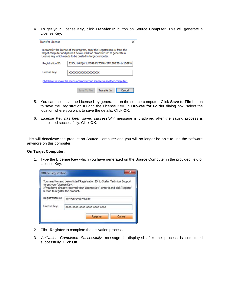4. To get your License Key, click **Transfer In** button on Source Computer. This will generate a License Key.

| <b>Transfer License</b> |                                                                                                                                                                                                                   |  |
|-------------------------|-------------------------------------------------------------------------------------------------------------------------------------------------------------------------------------------------------------------|--|
|                         | To transfer the license of the program, copy the Registration ID from the<br>target computer and paste it below. Click on "Transfer In" to generate a<br>License Key which needs to be pasted in target computer. |  |
| Registration ID:        | 5JSOU14UQW1LO549-DL7CPAH2PVL8NZ3B-1V1GGPW                                                                                                                                                                         |  |
| License Key:            | xxxxxxxxxxxxxxxxxx                                                                                                                                                                                                |  |
|                         | Click here to know the steps of transferring license to another computer.                                                                                                                                         |  |
|                         | <b>Transfer In</b><br>Save To File<br>Cancel                                                                                                                                                                      |  |

- 5. You can also save the License Key generated on the source computer. Click **Save to File** button to save the Registration ID and the License Key. In **Browse for Folder** dialog box, select the location where you want to save the details. Click **OK**.
- 6. '*License Key has been saved successfully*' message is displayed after the saving process is completed successfully. Click **OK**.

This will deactivate the product on Source Computer and you will no longer be able to use the software anymore on this computer.

#### **On Target Computer:**

1. Type the **License Key** which you have generated on the Source Computer in the provided field of License Key.

|                                                               | You need to send below listed 'Registration ID' to Stellar Technical Support  |
|---------------------------------------------------------------|-------------------------------------------------------------------------------|
| to get your 'License Key'.<br>button to register the product. | If you have already received your 'License Key', enter it and dick 'Register' |
|                                                               |                                                                               |
| Registration ID:                                              | 4VCZXM559RZEMUIF                                                              |

- 2. Click **Register** to complete the activation process.
- 3. '*Activation Completed Successfully*' message is displayed after the process is completed successfully. Click **OK**.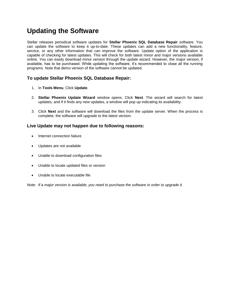## **Updating the Software**

Stellar releases periodical software updates for **Stellar Phoenix SQL Database Repair** software. You can update the software to keep it up-to-date. These updates can add a new functionality, feature, service, or any other information that can improve the software. Update option of the application is capable of checking for latest updates. This will check for both latest minor and major versions available online. You can easily download minor version through the update wizard. However, the major version, if available, has to be purchased. While updating the software, it's recommended to close all the running programs. Note that demo version of the software cannot be updated.

### **To update Stellar Phoenix SQL Database Repair:**

- 1. In **Tools Menu**, Click **Update**.
- 2. **Stellar Phoenix Update Wizard** window opens. Click **Next**. The wizard will search for latest updates, and if it finds any new updates, a window will pop up indicating its availability.
- 3. Click **Next** and the software will download the files from the update server. When the process is complete, the software will upgrade to the latest version.

### **Live Update may not happen due to following reasons:**

- Internet connection failure
- Updates are not available
- Unable to download configuration files
- Unable to locate updated files or version
- Unable to locate executable file

*Note: If a major version is available, you need to purchase the software in order to upgrade it.*